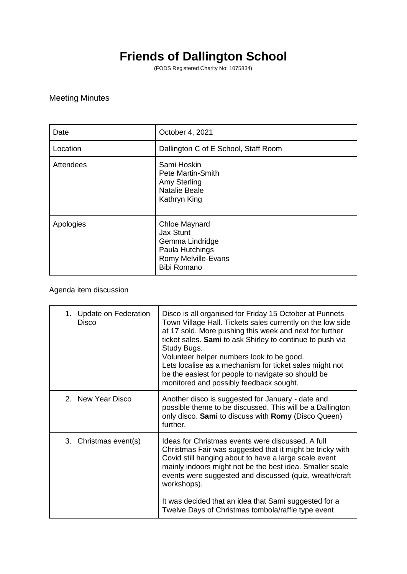## **Friends of Dallington School**

(FODS Registered Charity No: 1075834)

## Meeting Minutes

| Date      | October 4, 2021                                                                                                      |
|-----------|----------------------------------------------------------------------------------------------------------------------|
| Location  | Dallington C of E School, Staff Room                                                                                 |
| Attendees | Sami Hoskin<br><b>Pete Martin-Smith</b><br>Amy Sterling<br><b>Natalie Beale</b><br>Kathryn King                      |
| Apologies | <b>Chloe Maynard</b><br>Jax Stunt<br>Gemma Lindridge<br>Paula Hutchings<br>Romy Melville-Evans<br><b>Bibi Romano</b> |

Agenda item discussion

| 1. Update on Federation<br>Disco | Disco is all organised for Friday 15 October at Punnets<br>Town Village Hall. Tickets sales currently on the low side<br>at 17 sold. More pushing this week and next for further<br>ticket sales. Sami to ask Shirley to continue to push via<br>Study Bugs.<br>Volunteer helper numbers look to be good.<br>Lets localise as a mechanism for ticket sales might not<br>be the easiest for people to navigate so should be<br>monitored and possibly feedback sought. |
|----------------------------------|-----------------------------------------------------------------------------------------------------------------------------------------------------------------------------------------------------------------------------------------------------------------------------------------------------------------------------------------------------------------------------------------------------------------------------------------------------------------------|
| 2. New Year Disco                | Another disco is suggested for January - date and<br>possible theme to be discussed. This will be a Dallington<br>only disco. Sami to discuss with Romy (Disco Queen)<br>further.                                                                                                                                                                                                                                                                                     |
| 3. Christmas event(s)            | Ideas for Christmas events were discussed. A full<br>Christmas Fair was suggested that it might be tricky with<br>Covid still hanging about to have a large scale event<br>mainly indoors might not be the best idea. Smaller scale<br>events were suggested and discussed (quiz, wreath/craft<br>workshops).<br>It was decided that an idea that Sami suggested for a                                                                                                |
|                                  | Twelve Days of Christmas tombola/raffle type event                                                                                                                                                                                                                                                                                                                                                                                                                    |